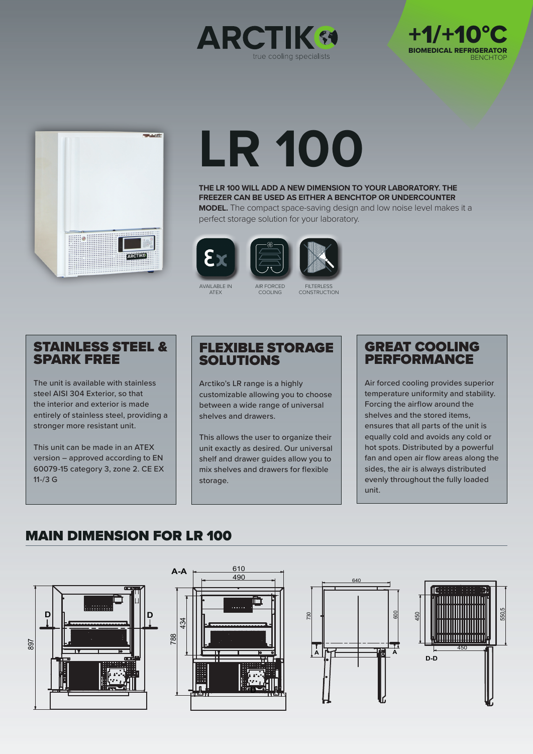





# **LR 100**

**THE LR 100 WILL ADD A NEW DIMENSION TO YOUR LABORATORY. THE FREEZER CAN BE USED AS EITHER A BENCHTOP OR UNDERCOUNTER MODEL.** The compact space-saving design and low noise level makes it a perfect storage solution for your laboratory.





AVAILABLE IN ATEX

**FILTERLESS CONSTRUCTION** 

## STAINLESS STEEL & SPARK FREE

The unit is available with stainless steel AISI 304 Exterior, so that the interior and exterior is made entirely of stainless steel, providing a stronger more resistant unit.

This unit can be made in an ATEX version – approved according to EN 60079-15 category 3, zone 2. CE EX 11-/3 G

## FLEXIBLE STORAGE SOLUTIONS

AIR FORCED COOLING

Arctiko's LR range is a highly customizable allowing you to choose between a wide range of universal shelves and drawers.

This allows the user to organize their unit exactly as desired. Our universal shelf and drawer guides allow you to mix shelves and drawers for flexible storage.

## GREAT COOLING **PERFORMANCE**

Air forced cooling provides superior temperature uniformity and stability. Forcing the airflow around the shelves and the stored items, ensures that all parts of the unit is equally cold and avoids any cold or hot spots. Distributed by a powerful fan and open air flow areas along the sides, the air is always distributed evenly throughout the fully loaded unit.

## MAIN DIMENSION FOR LR 100